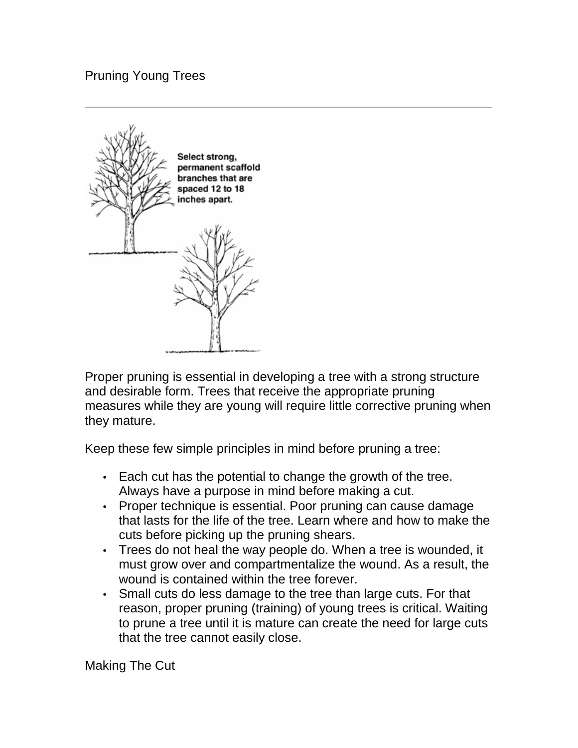# Pruning Young Trees



Proper pruning is essential in developing a tree with a strong structure and desirable form. Trees that receive the appropriate pruning measures while they are young will require little corrective pruning when they mature.

Keep these few simple principles in mind before pruning a tree:

- Each cut has the potential to change the growth of the tree. Always have a purpose in mind before making a cut.
- Proper technique is essential. Poor pruning can cause damage that lasts for the life of the tree. Learn where and how to make the cuts before picking up the pruning shears.
- Trees do not heal the way people do. When a tree is wounded, it must grow over and compartmentalize the wound. As a result, the wound is contained within the tree forever.
- Small cuts do less damage to the tree than large cuts. For that reason, proper pruning (training) of young trees is critical. Waiting to prune a tree until it is mature can create the need for large cuts that the tree cannot easily close.

Making The Cut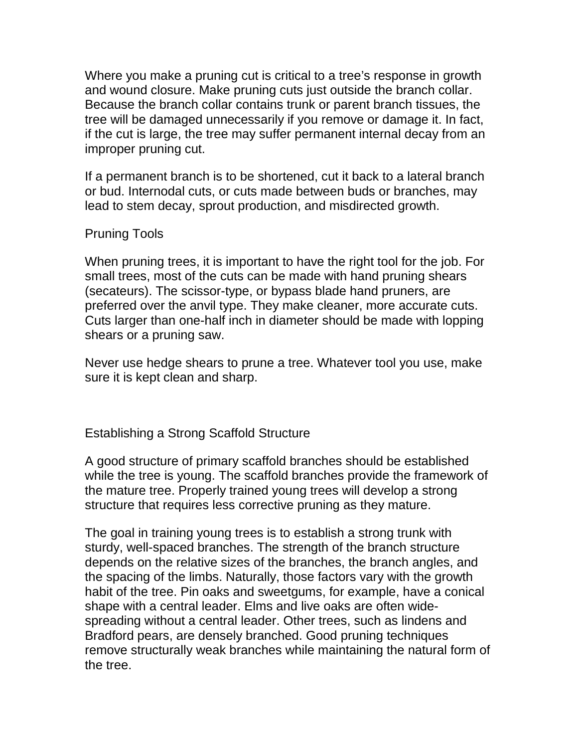Where you make a pruning cut is critical to a tree's response in growth and wound closure. Make pruning cuts just outside the branch collar. Because the branch collar contains trunk or parent branch tissues, the tree will be damaged unnecessarily if you remove or damage it. In fact, if the cut is large, the tree may suffer permanent internal decay from an improper pruning cut.

If a permanent branch is to be shortened, cut it back to a lateral branch or bud. Internodal cuts, or cuts made between buds or branches, may lead to stem decay, sprout production, and misdirected growth.

# Pruning Tools

When pruning trees, it is important to have the right tool for the job. For small trees, most of the cuts can be made with hand pruning shears (secateurs). The scissor-type, or bypass blade hand pruners, are preferred over the anvil type. They make cleaner, more accurate cuts. Cuts larger than one-half inch in diameter should be made with lopping shears or a pruning saw.

Never use hedge shears to prune a tree. Whatever tool you use, make sure it is kept clean and sharp.

Establishing a Strong Scaffold Structure

A good structure of primary scaffold branches should be established while the tree is young. The scaffold branches provide the framework of the mature tree. Properly trained young trees will develop a strong structure that requires less corrective pruning as they mature.

The goal in training young trees is to establish a strong trunk with sturdy, well-spaced branches. The strength of the branch structure depends on the relative sizes of the branches, the branch angles, and the spacing of the limbs. Naturally, those factors vary with the growth habit of the tree. Pin oaks and sweetgums, for example, have a conical shape with a central leader. Elms and live oaks are often widespreading without a central leader. Other trees, such as lindens and Bradford pears, are densely branched. Good pruning techniques remove structurally weak branches while maintaining the natural form of the tree.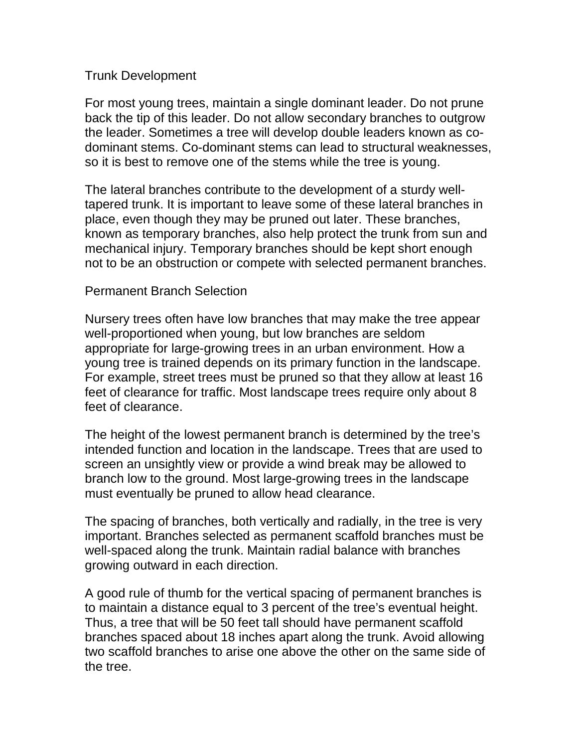# Trunk Development

For most young trees, maintain a single dominant leader. Do not prune back the tip of this leader. Do not allow secondary branches to outgrow the leader. Sometimes a tree will develop double leaders known as codominant stems. Co-dominant stems can lead to structural weaknesses, so it is best to remove one of the stems while the tree is young.

The lateral branches contribute to the development of a sturdy welltapered trunk. It is important to leave some of these lateral branches in place, even though they may be pruned out later. These branches, known as temporary branches, also help protect the trunk from sun and mechanical injury. Temporary branches should be kept short enough not to be an obstruction or compete with selected permanent branches.

# Permanent Branch Selection

Nursery trees often have low branches that may make the tree appear well-proportioned when young, but low branches are seldom appropriate for large-growing trees in an urban environment. How a young tree is trained depends on its primary function in the landscape. For example, street trees must be pruned so that they allow at least 16 feet of clearance for traffic. Most landscape trees require only about 8 feet of clearance.

The height of the lowest permanent branch is determined by the tree's intended function and location in the landscape. Trees that are used to screen an unsightly view or provide a wind break may be allowed to branch low to the ground. Most large-growing trees in the landscape must eventually be pruned to allow head clearance.

The spacing of branches, both vertically and radially, in the tree is very important. Branches selected as permanent scaffold branches must be well-spaced along the trunk. Maintain radial balance with branches growing outward in each direction.

A good rule of thumb for the vertical spacing of permanent branches is to maintain a distance equal to 3 percent of the tree's eventual height. Thus, a tree that will be 50 feet tall should have permanent scaffold branches spaced about 18 inches apart along the trunk. Avoid allowing two scaffold branches to arise one above the other on the same side of the tree.